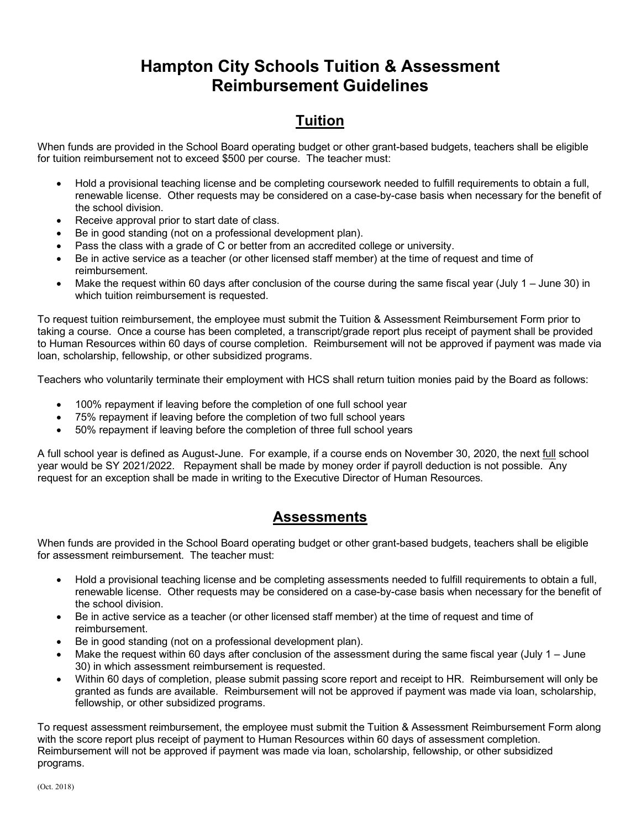## **Hampton City Schools Tuition & Assessment Reimbursement Guidelines**

## **Tuition**

When funds are provided in the School Board operating budget or other grant-based budgets, teachers shall be eligible for tuition reimbursement not to exceed \$500 per course. The teacher must:

- Hold a provisional teaching license and be completing coursework needed to fulfill requirements to obtain a full, renewable license. Other requests may be considered on a case-by-case basis when necessary for the benefit of the school division.
- Receive approval prior to start date of class.
- Be in good standing (not on a professional development plan).
- Pass the class with a grade of C or better from an accredited college or university.
- Be in active service as a teacher (or other licensed staff member) at the time of request and time of reimbursement.
- Make the request within 60 days after conclusion of the course during the same fiscal year (July 1 June 30) in which tuition reimbursement is requested.

To request tuition reimbursement, the employee must submit the Tuition & Assessment Reimbursement Form prior to taking a course. Once a course has been completed, a transcript/grade report plus receipt of payment shall be provided to Human Resources within 60 days of course completion. Reimbursement will not be approved if payment was made via loan, scholarship, fellowship, or other subsidized programs.

Teachers who voluntarily terminate their employment with HCS shall return tuition monies paid by the Board as follows:

- 100% repayment if leaving before the completion of one full school year
- 75% repayment if leaving before the completion of two full school years
- 50% repayment if leaving before the completion of three full school years

A full school year is defined as August-June. For example, if a course ends on November 30, 2020, the next full school year would be SY 2021/2022. Repayment shall be made by money order if payroll deduction is not possible. Any request for an exception shall be made in writing to the Executive Director of Human Resources.

## **Assessments**

When funds are provided in the School Board operating budget or other grant-based budgets, teachers shall be eligible for assessment reimbursement. The teacher must:

- Hold a provisional teaching license and be completing assessments needed to fulfill requirements to obtain a full, renewable license. Other requests may be considered on a case-by-case basis when necessary for the benefit of the school division.
- Be in active service as a teacher (or other licensed staff member) at the time of request and time of reimbursement.
- Be in good standing (not on a professional development plan).
- Make the request within 60 days after conclusion of the assessment during the same fiscal year (July 1 June 30) in which assessment reimbursement is requested.
- Within 60 days of completion, please submit passing score report and receipt to HR. Reimbursement will only be granted as funds are available. Reimbursement will not be approved if payment was made via loan, scholarship, fellowship, or other subsidized programs.

To request assessment reimbursement, the employee must submit the Tuition & Assessment Reimbursement Form along with the score report plus receipt of payment to Human Resources within 60 days of assessment completion. Reimbursement will not be approved if payment was made via loan, scholarship, fellowship, or other subsidized programs.